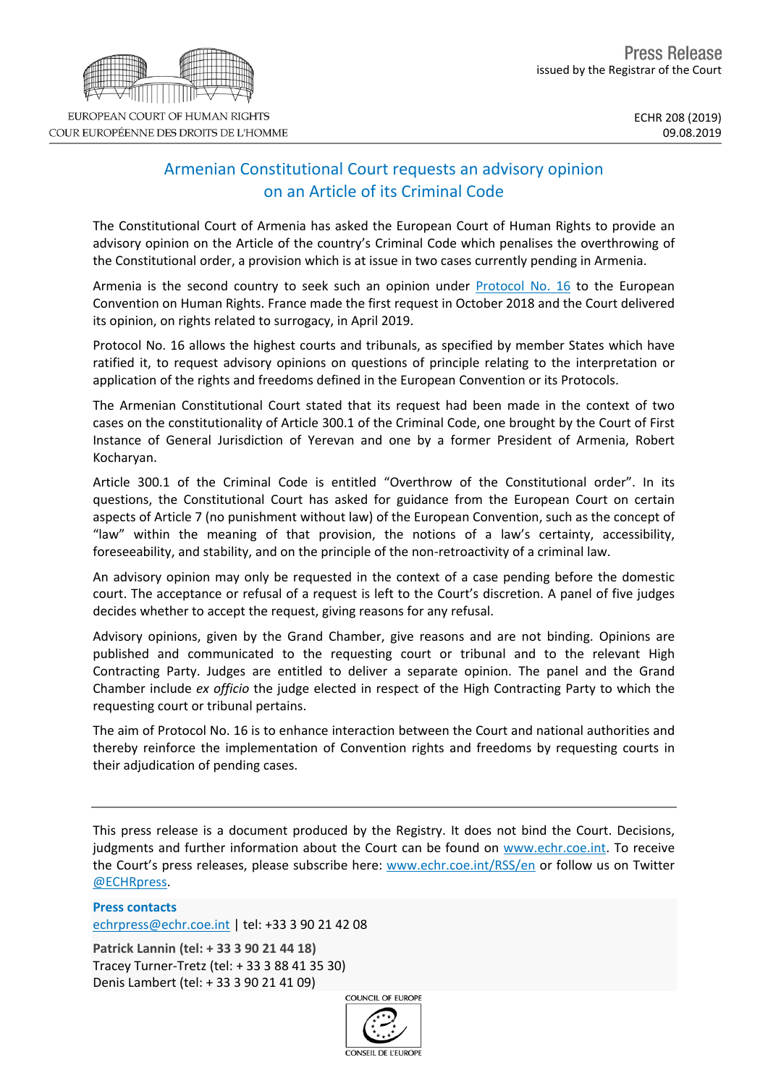## Armenian Constitutional Court requests an advisory opinion on an Article of its Criminal Code

The Constitutional Court of Armenia has asked the European Court of Human Rights to provide an advisory opinion on the Article of the country's Criminal Code which penalises the overthrowing of the Constitutional order, a provision which is at issue in two cases currently pending in Armenia.

Armenia is the second country to seek such an opinion under [Protocol](https://www.coe.int/en/web/conventions/full-list/-/conventions/rms/0900001680084832) No. 16 to the European Convention on Human Rights. France made the first request in October 2018 and the Court delivered its opinion, on rights related to surrogacy, in April 2019.

Protocol No. 16 allows the highest courts and tribunals, as specified by member States which have ratified it, to request advisory opinions on questions of principle relating to the interpretation or application of the rights and freedoms defined in the European Convention or its Protocols.

The Armenian Constitutional Court stated that its request had been made in the context of two cases on the constitutionality of Article 300.1 of the Criminal Code, one brought by the Court of First Instance of General Jurisdiction of Yerevan and one by a former President of Armenia, Robert Kocharyan.

Article 300.1 of the Criminal Code is entitled "Overthrow of the Constitutional order". In its questions, the Constitutional Court has asked for guidance from the European Court on certain aspects of Article 7 (no punishment without law) of the European Convention, such as the concept of "law" within the meaning of that provision, the notions of a law's certainty, accessibility, foreseeability, and stability, and on the principle of the non-retroactivity of a criminal law.

An advisory opinion may only be requested in the context of a case pending before the domestic court. The acceptance or refusal of a request is left to the Court's discretion. A panel of five judges decides whether to accept the request, giving reasons for any refusal.

Advisory opinions, given by the Grand Chamber, give reasons and are not binding. Opinions are published and communicated to the requesting court or tribunal and to the relevant High Contracting Party. Judges are entitled to deliver a separate opinion. The panel and the Grand Chamber include *ex officio* the judge elected in respect of the High Contracting Party to which the requesting court or tribunal pertains.

The aim of Protocol No. 16 is to enhance interaction between the Court and national authorities and thereby reinforce the implementation of Convention rights and freedoms by requesting courts in their adjudication of pending cases.

This press release is a document produced by the Registry. It does not bind the Court. Decisions, judgments and further information about the Court can be found on [www.echr.coe.int](http://www.echr.coe.int/). To receive the Court's press releases, please subscribe here: [www.echr.coe.int/RSS/en](http://www.echr.coe.int/RSS/en) or follow us on Twitter [@ECHRpress.](https://twitter.com/ECHR_Press)

**Press contacts** [echrpress@echr.coe.int](mailto:Echrpress@echr.coe.int) | tel: +33 3 90 21 42 08

**Patrick Lannin (tel: + 33 3 90 21 44 18)** Tracey Turner-Tretz (tel: + 33 3 88 41 35 30) Denis Lambert (tel: + 33 3 90 21 41 09)

COUNCIL OF FUROPE